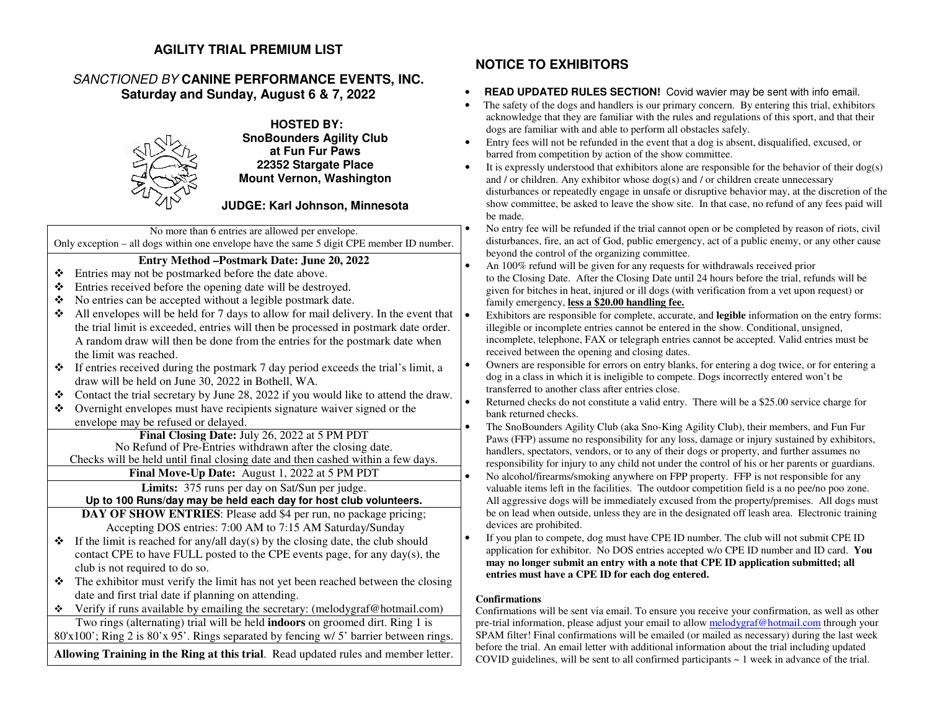## **AGILITY TRIAL PREMIUM LIST**

## SANCTIONED BY **CANINE PERFORMANCE EVENTS, INC. Saturday and Sunday, August 6 & 7, 2022**



**HOSTED BY: SnoBounders Agility Clubat Fun Fur Paws 22352 Stargate Place Mount Vernon, Washington** 

**JUDGE: Karl Johnson, Minnesota** 

No more than 6 entries are allowed per envelope. Only exception – all dogs within one envelope have the same 5 digit CPE member ID number.

### **Entry Method –Postmark Date: June 20, 2022**

- ❖ Entries may not be postmarked before the date above.
- $\ddot{\cdot}$ Entries received before the opening date will be destroyed.
- ❖ No entries can be accepted without a legible postmark date.
- ❖ All envelopes will be held for 7 days to allow for mail delivery. In the event that the trial limit is exceeded, entries will then be processed in postmark date order. A random draw will then be done from the entries for the postmark date when the limit was reached.
- $\bullet$  If entries received during the postmark 7 day period exceeds the trial's limit, a draw will be held on June 30, 2022 in Bothell, WA draw will be held on June 30, 2022 in Bothell, WA.
- Contact the trial secretary by June 28, 2022 if you would like to attend the draw. ❖
- $\mathbf{r}^*$  Overnight envelopes must have recipients signature waiver signed or the envelope may be refused or delayed.

 **Final Closing Date:** July 26, 2022 at 5 PM PDT No Refund of Pre-Entries withdrawn after the closing date. Checks will be held until final closing date and then cashed within a few days.

**Final Move-Up Date:** August 1, 2022 at 5 PM PDT

**Limits:** 375 runs per day on Sat/Sun per judge.

**Up to 100 Runs/day may be held each day for host club volunteers.**

 **DAY OF SHOW ENTRIES**: Please add \$4 per run, no package pricing; Accepting DOS entries: 7:00 AM to 7:15 AM Saturday/Sunday

- $\bullet$  If the limit is reached for any/all day(s) by the closing date, the club should contact CPE to have EUL posted to the CPE events page for any day(s) the contact CPE to have FULL posted to the CPE events page, for any day(s), the club is not required to do so.
- $\bullet$  The exhibitor must verify the limit has not yet been reached between the closing data and first trial data if planning on attending  $\frac{1}{2}$ date and first trial date if planning on attending.
- Verify if runs available by emailing the secretary: (melodygraf@hotmail.com) Two rings (alternating) trial will be held **indoors** on groomed dirt. Ring 1 is 80'x100'; Ring 2 is 80'x 95'. Rings separated by fencing w/ 5' barrier between rings.

**Allowing Training in the Ring at this trial**. Read updated rules and member letter.

# **NOTICE TO EXHIBITORS**

•

•

•

•

•

•

•

- • **READ UPDATED RULES SECTION!** Covid wavier may be sent with info email.
- The safety of the dogs and handlers is our primary concern. By entering this trial, exhibitors acknowledge that they are familiar with the rules and regulations of this sport, and that their dogs are familiar with and able to perform all obstacles safely.
- Entry fees will not be refunded in the event that a dog is absent, disqualified, excused, or •barred from competition by action of the show committee.
- It is expressly understood that exhibitors alone are responsible for the behavior of their dog(s) •and / or children. Any exhibitor whose  $\log(s)$  and / or children create unnecessary disturbances or repeatedly engage in unsafe or disruptive behavior may, at the discretion of the show committee, be asked to leave the show site. In that case, no refund of any fees paid will be made.
- No entry fee will be refunded if the trial cannot open or be completed by reason of riots, civil disturbances, fire, an act of God, public emergency, act of a public enemy, or any other cause beyond the control of the organizing committee.
- An 100% refund will be given for any requests for withdrawals received prior to the Closing Date. After the Closing Date until 24 hours before the trial, refunds will be given for bitches in heat, injured or ill dogs (with verification from a vet upon request) or family emergency, **less a \$20.00 handling fee.**
- Exhibitors are responsible for complete, accurate, and **legible** information on the entry forms: illegible or incomplete entries cannot be entered in the show. Conditional, unsigned, incomplete, telephone, FAX or telegraph entries cannot be accepted. Valid entries must be received between the opening and closing dates.
- Owners are responsible for errors on entry blanks, for entering a dog twice, or for entering a dog in a class in which it is ineligible to compete. Dogs incorrectly entered won't be transferred to another class after entries close.
- Returned checks do not constitute a valid entry. There will be a \$25.00 service charge for bank returned checks.
	- The SnoBounders Agility Club (aka Sno-King Agility Club), their members, and Fun Fur Paws (FFP) assume no responsibility for any loss, damage or injury sustained by exhibitors, handlers, spectators, vendors, or to any of their dogs or property, and further assumes no responsibility for injury to any child not under the control of his or her parents or guardians. No alcohol/firearms/smoking anywhere on FPP property. FFP is not responsible for any valuable items left in the facilities. The outdoor competition field is a no pee/no poo zone. All aggressive dogs will be immediately excused from the property/premises. All dogs must be on lead when outside, unless they are in the designated off leash area. Electronic training devices are prohibited.
- • If you plan to compete, dog must have CPE ID number. The club will not submit CPE ID application for exhibitor. No DOS entries accepted w/o CPE ID number and ID card. **You may no longer submit an entry with a note that CPE ID application submitted; all entries must have a CPE ID for each dog entered.**

### **Confirmations**

 Confirmations will be sent via email. To ensure you receive your confirmation, as well as other pre-trial information, please adjust your email to allow melodygraf@hotmail.com through your SPAM filter! Final confirmations will be emailed (or mailed as necessary) during the last week before the trial. An email letter with additional information about the trial including updated COVID guidelines, will be sent to all confirmed participants  $\sim 1$  week in advance of the trial.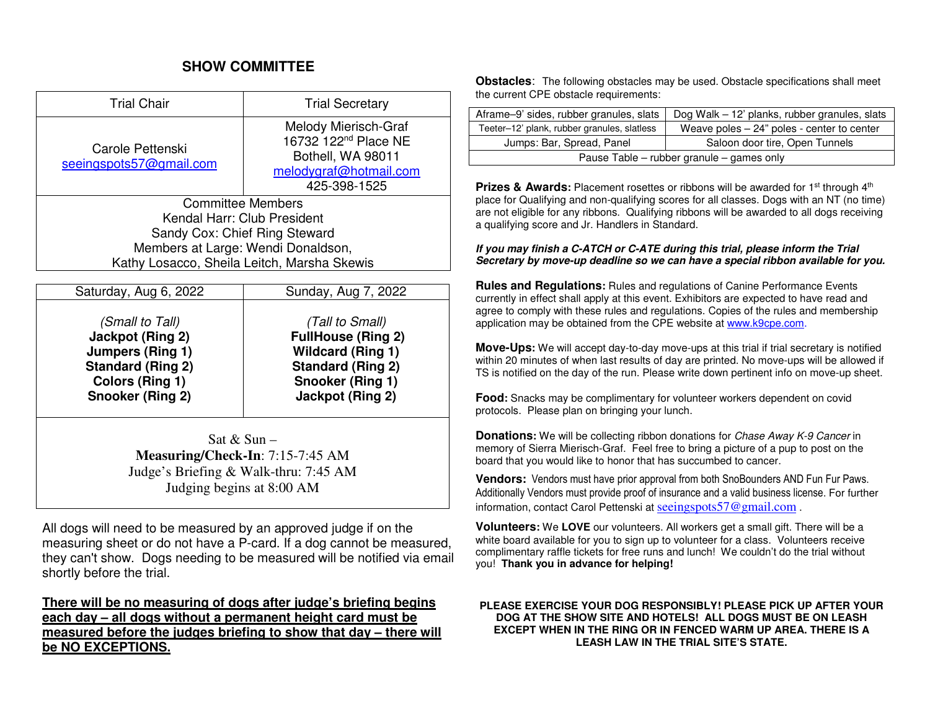## **SHOW COMMITTEE**

| <b>Trial Chair</b>                          | <b>Trial Secretary</b>                                                                                                  |  |  |
|---------------------------------------------|-------------------------------------------------------------------------------------------------------------------------|--|--|
| Carole Pettenski<br>seeingspots57@gmail.com | Melody Mierisch-Graf<br>16732 122 <sup>nd</sup> Place NE<br>Bothell, WA 98011<br>melodygraf@hotmail.com<br>425-398-1525 |  |  |
| <b>Committee Members</b>                    |                                                                                                                         |  |  |
| Kendal Harr: Club President                 |                                                                                                                         |  |  |
| Sandy Cox: Chief Ring Steward               |                                                                                                                         |  |  |
| Members at Large: Wendi Donaldson,          |                                                                                                                         |  |  |
| Kathy Losacco, Sheila Leitch, Marsha Skewis |                                                                                                                         |  |  |
|                                             |                                                                                                                         |  |  |
| Caturday Aug & 2022                         | $C$ undov Aug 7<br>ממ∩מ                                                                                                 |  |  |

| Saturday, Aug 6, 2022    | Sunday, Aug 7, 2022       |
|--------------------------|---------------------------|
| (Small to Tall)          | (Tall to Small)           |
| Jackpot (Ring 2)         | <b>FullHouse (Ring 2)</b> |
| Jumpers (Ring 1)         | <b>Wildcard (Ring 1)</b>  |
| <b>Standard (Ring 2)</b> | <b>Standard (Ring 2)</b>  |
| Colors (Ring 1)          | Snooker (Ring 1)          |
| Snooker (Ring 2)         | Jackpot (Ring 2)          |

Sat  $&$  Sun – **Measuring/Check-In**: 7:15-7:45 AM Judge's Briefing & Walk-thru: 7:45 AM Judging begins at 8:00 AM

All dogs will need to be measured by an approved judge if on the measuring sheet or do not have a P-card. If a dog cannot be measured, they can't show. Dogs needing to be measured will be notified via email shortly before the trial.

**There will be no measuring of dogs after judge's briefing begins each day – all dogs without a permanent height card must be measured before the judges briefing to show that day – there will be NO EXCEPTIONS.** 

**Obstacles**: The following obstacles may be used. Obstacle specifications shall meet the current CPE obstacle requirements:

| Aframe-9' sides, rubber granules, slats     | Dog Walk – 12' planks, rubber granules, slats |  |  |
|---------------------------------------------|-----------------------------------------------|--|--|
| Teeter-12' plank, rubber granules, slatless | Weave poles $-24$ " poles - center to center  |  |  |
| Jumps: Bar, Spread, Panel                   | Saloon door tire, Open Tunnels                |  |  |
| Pause Table – rubber granule – games only   |                                               |  |  |

**Prizes & Awards:** Placement rosettes or ribbons will be awarded for 1<sup>st</sup> through 4<sup>th</sup> place for Qualifying and non-qualifying scores for all classes. Dogs with an NT (no time) are not eligible for any ribbons. Qualifying ribbons will be awarded to all dogs receiving a qualifying score and Jr. Handlers in Standard.

*If you may finish a C-ATCH or C-ATE during this trial, please inform the Trial Secretary by move-up deadline so we can have a special ribbon available for you.*

**Rules and Regulations:** Rules and regulations of Canine Performance Events currently in effect shall apply at this event. Exhibitors are expected to have read and agree to comply with these rules and regulations. Copies of the rules and membership application may be obtained from the CPE website at www.k9cpe.com.

**Move-Ups:** We will accept day-to-day move-ups at this trial if trial secretary is notified within 20 minutes of when last results of day are printed. No move-ups will be allowed if TS is notified on the day of the run. Please write down pertinent info on move-up sheet.

**Food:** Snacks may be complimentary for volunteer workers dependent on covid protocols. Please plan on bringing your lunch.

**Donations:** We will be collecting ribbon donations for Chase Away K-9 Cancer in memory of Sierra Mierisch-Graf. Feel free to bring a picture of a pup to post on the board that you would like to honor that has succumbed to cancer.

**Vendors:** Vendors must have prior approval from both SnoBounders AND Fun Fur Paws. Additionally Vendors must provide proof of insurance and a valid business license. For further information, contact Carol Pettenski at seeingspots57@gmail.com.

**Volunteers:** We **LOVE** our volunteers. All workers get a small gift. There will be a white board available for you to sign up to volunteer for a class. Volunteers receive complimentary raffle tickets for free runs and lunch! We couldn't do the trial without you! **Thank you in advance for helping!** 

### **PLEASE EXERCISE YOUR DOG RESPONSIBLY! PLEASE PICK UP AFTER YOUR DOG AT THE SHOW SITE AND HOTELS! ALL DOGS MUST BE ON LEASH EXCEPT WHEN IN THE RING OR IN FENCED WARM UP AREA. THERE IS A LEASH LAW IN THE TRIAL SITE'S STATE.**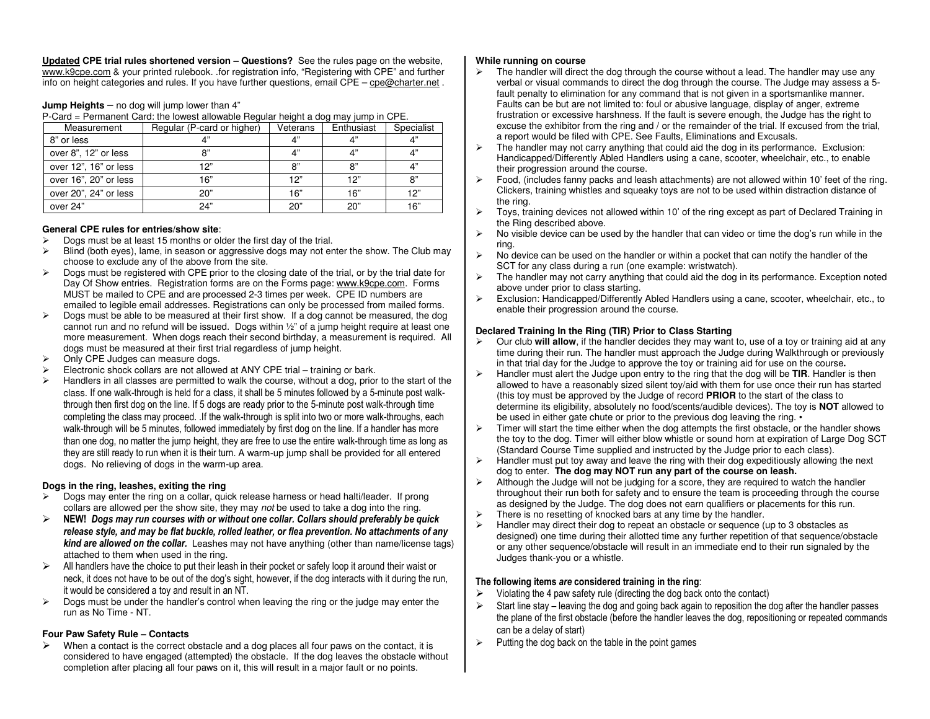**Updated CPE trial rules shortened version – Questions?** See the rules page on the website, www.k9cpe.com & your printed rulebook. .for registration info, "Registering with CPE" and further info on height categories and rules. If you have further questions, email CPE – cpe@charter.net .

#### **Jump Heights** – no dog will jump lower than 4"

P-Card = Permanent Card: the lowest allowable Regular height a dog may jump in CPE.

| Measurement           | Regular (P-card or higher) | Veterans | Enthusiast  | Specialist |
|-----------------------|----------------------------|----------|-------------|------------|
| 8" or less            | 4"                         | 4"       | $\Lambda$ " | 4"         |
| over 8", 12" or less  | 8"                         | 4"       | $\Lambda$ " | 4"         |
| over 12", 16" or less | 12"                        | 8"       | 8"          | 4"         |
| over 16", 20" or less | 16"                        | 12"      | 12"         | 8"         |
| over 20", 24" or less | 20"                        | 16"      | 16"         | 12"        |
| over 24"              | 24"                        | 20"      | 20"         | 16"        |

#### **General CPE rules for entries/show site**:

- $\triangleright$  Dogs must be at least 15 months or older the first day of the trial.
- $\triangleright$  Blind (both eyes), lame, in season or aggressive dogs may not enter the show. The Club may choose to exclude any of the above from the site.
- $\triangleright$  Dogs must be registered with CPE prior to the closing date of the trial, or by the trial date for Day Of Show entries. Registration forms are on the Forms page: www.k9cpe.com. Forms MUST be mailed to CPE and are processed 2-3 times per week. CPE ID numbers are emailed to legible email addresses. Registrations can only be processed from mailed forms.
- $\triangleright$  Dogs must be able to be measured at their first show. If a dog cannot be measured, the dog cannot run and no refund will be issued. Dogs within ½" of a jump height require at least one more measurement. When dogs reach their second birthday, a measurement is required. All dogs must be measured at their first trial regardless of jump height.
- $\triangleright$  Only CPE Judges can measure dogs.<br> $\triangleright$  Electronic shock collars are not allowe
- $\triangleright$  Electronic shock collars are not allowed at ANY CPE trial training or bark.
- $\blacktriangleright$  Handlers in all classes are permitted to walk the course, without a dog, prior to the start of the class. If one walk-through is held for a class, it shall be 5 minutes followed by a 5-minute post walkthrough then first dog on the line. If 5 dogs are ready prior to the 5-minute post walk-through time completing the class may proceed. .If the walk-through is split into two or more walk-throughs, each walk-through will be 5 minutes, followed immediately by first dog on the line. If a handler has more than one dog, no matter the jump height, they are free to use the entire walk-through time as long as they are still ready to run when it is their turn. A warm-up jump shall be provided for all entered dogs. No relieving of dogs in the warm-up area.

#### **Dogs in the ring, leashes, exiting the ring**

- $\triangleright$  Dogs may enter the ring on a collar, quick release harness or head halti/leader. If prong collars are allowed per the show site, they may not be used to take a dog into the ring.
- **NEW!** *Dogs may run courses with or without one collar. Collars should preferably be quick release style, and may be flat buckle, rolled leather, or flea prevention. No attachments of any kind are allowed on the collar.* Leashes may not have anything (other than name/license tags) attached to them when used in the ring.
- $\triangleright$  All handlers have the choice to put their leash in their pocket or safely loop it around their waist or neck it does not have to be out of the doe's gight, have your if the doe interests with it during the m  $\blacktriangleright$ neck, it does not have to be out of the dog's sight, however, if the dog interacts with it during the run, it would be considered a toy and result in an NT.
- $\triangleright$  Dogs must be under the handler's control when leaving the ring or the judge may enter the run as No Time - NT.

#### **Four Paw Safety Rule – Contacts**

 $\triangleright$  When a contact is the correct obstacle and a dog places all four paws on the contact, it is<br>considered to baye engaged (attempted) the obstacle. If the dog leaves the obstacle with  $\blacktriangleright$ considered to have engaged (attempted) the obstacle. If the dog leaves the obstacle without completion after placing all four paws on it, this will result in a major fault or no points.

#### **While running on course**

- $\triangleright$  The handler will direct the dog through the course without a lead. The handler may use any verbal or visual commands to direct the dog through the course. The Judge may assess a 5fault penalty to elimination for any command that is not given in a sportsmanlike manner. Faults can be but are not limited to: foul or abusive language, display of anger, extreme frustration or excessive harshness. If the fault is severe enough, the Judge has the right to excuse the exhibitor from the ring and / or the remainder of the trial. If excused from the trial, a report would be filed with CPE. See Faults, Eliminations and Excusals.
- $\triangleright$  The handler may not carry anything that could aid the dog in its performance. Exclusion: Handicapped/Differently Abled Handlers using a cane, scooter, wheelchair, etc., to enable their progression around the course.
- $\triangleright$  Food, (includes fanny packs and leash attachments) are not allowed within 10' feet of the ring. Clickers, training whistles and squeaky toys are not to be used within distraction distance of the ring.
- $\triangleright$  Toys, training devices not allowed within 10' of the ring except as part of Declared Training in the Ring described above.
- $\triangleright$  No visible device can be used by the handler that can video or time the dog's run while in the ring.
- $\triangleright$  No device can be used on the handler or within a pocket that can notify the handler of the SCT for any class during a run (one example: wristwatch).
- $\triangleright$  The handler may not carry anything that could aid the dog in its performance. Exception noted above under prior to class starting.
- Exclusion: Handicapped/Differently Abled Handlers using a cane, scooter, wheelchair, etc., to enable their progression around the course.

#### **Declared Training In the Ring (TIR) Prior to Class Starting**

- Our club **will allow**, if the handler decides they may want to, use of a toy or training aid at any time during their run. The handler must approach the Judge during Walkthrough or previously in that trial day for the Judge to approve the toy or training aid for use on the course**.**
- Handler must alert the Judge upon entry to the ring that the dog will be **TIR**. Handler is then allowed to have a reasonably sized silent toy/aid with them for use once their run has started (this toy must be approved by the Judge of record **PRIOR** to the start of the class to determine its eligibility, absolutely no food/scents/audible devices). The toy is **NOT** allowed to be used in either gate chute or prior to the previous dog leaving the ring. •
- $\triangleright$  Timer will start the time either when the dog attempts the first obstacle, or the handler shows the toy to the dog. Timer will either blow whistle or sound horn at expiration of Large Dog SCT (Standard Course Time supplied and instructed by the Judge prior to each class).
- $\blacktriangleright$  Handler must put toy away and leave the ring with their dog expeditiously allowing the next dog to enter. **The dog may NOT run any part of the course on leash.**
- $\triangleright$  Although the Judge will not be judging for a score, they are required to watch the handler throughout their run both for safety and to ensure the team is proceeding through the course as designed by the Judge. The dog does not earn qualifiers or placements for this run.
- $\triangleright$  There is no resetting of knocked bars at any time by the handler.
- $\triangleright$  Handler may direct their dog to repeat an obstacle or sequence (up to 3 obstacles as designed) one time during their allotted time any further repetition of that sequence/obstacle or any other sequence/obstacle will result in an immediate end to their run signaled by the Judges thank-you or a whistle.

#### **The following items** *are* **considered training in the ring**:

- $\triangleright$  Violating the 4 paw safety rule (directing the dog back onto the contact)  $\triangleright$
- $\blacktriangleright$  Start line stay – leaving the dog and going back again to reposition the dog after the handler passes the plane of the first obstacle (before the handler leaves the dog, repositioning or repeated commandscan be a delay of start)
- $\triangleright$  Putting the dog back on the table in the point games  $\blacktriangleright$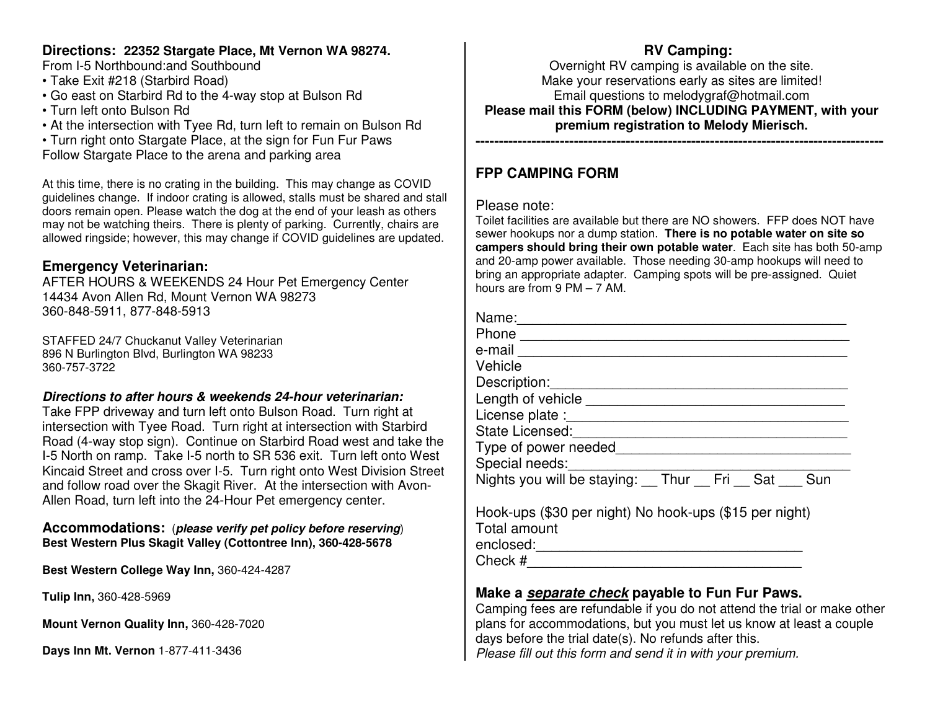## **Directions: 22352 Stargate Place, Mt Vernon WA 98274.**

From I-5 Northbound:and Southbound

- Take Exit #218 (Starbird Road)
- Go east on Starbird Rd to the 4-way stop at Bulson Rd
- Turn left onto Bulson Rd
- At the intersection with Tyee Rd, turn left to remain on Bulson Rd

• Turn right onto Stargate Place, at the sign for Fun Fur Paws Follow Stargate Place to the arena and parking area

At this time, there is no crating in the building. This may change as COVID guidelines change. If indoor crating is allowed, stalls must be shared and stall doors remain open. Please watch the dog at the end of your leash as others may not be watching theirs. There is plenty of parking. Currently, chairs are allowed ringside; however, this may change if COVID guidelines are updated.

# **Emergency Veterinarian:**

 AFTER HOURS & WEEKENDS 24 Hour Pet Emergency Center14434 Avon Allen Rd, Mount Vernon WA 98273 360-848-5911, 877-848-5913

STAFFED 24/7 Chuckanut Valley Veterinarian 896 N Burlington Blvd, Burlington WA 98233 360-757-3722

## *Directions to after hours & weekends 24-hour veterinarian:*

 Take FPP driveway and turn left onto Bulson Road. Turn right at intersection with Tyee Road. Turn right at intersection with Starbird Road (4-way stop sign). Continue on Starbird Road west and take the I-5 North on ramp. Take I-5 north to SR 536 exit. Turn left onto West Kincaid Street and cross over I-5. Turn right onto West Division Street and follow road over the Skagit River. At the intersection with Avon-Allen Road, turn left into the 24-Hour Pet emergency center.

## **Accommodations:** (*please verify pet policy before reserving*) **Best Western Plus Skagit Valley (Cottontree Inn), 360-428-5678**

**Best Western College Way Inn,** 360-424-4287

**Tulip Inn,** 360-428-5969

**Mount Vernon Quality Inn,** 360-428-7020

**Days Inn Mt. Vernon** 1-877-411-3436

# **RV Camping:**

 Overnight RV camping is available on the site. Make your reservations early as sites are limited! Email questions to melodygraf@hotmail.com **Please mail this FORM (below) INCLUDING PAYMENT, with your premium registration to Melody Mierisch.** 

### **---------------------------------------------------------------------------------------**

# **FPP CAMPING FORM**

## Please note:

 Toilet facilities are available but there are NO showers. FFP does NOT have sewer hookups nor a dump station. **There is no potable water on site so campers should bring their own potable water**. Each site has both 50-amp and 20-amp power available. Those needing 30-amp hookups will need to bring an appropriate adapter. Camping spots will be pre-assigned. Quiet hours are from 9 PM – 7 AM.

| Name:                                                  |
|--------------------------------------------------------|
| Phone                                                  |
| e-mail                                                 |
| Vehicle                                                |
| Description:                                           |
| Length of vehicle                                      |
| License plate :                                        |
| State Licensed:                                        |
| Type of power needed                                   |
| Special needs:                                         |
| Nights you will be staying: Thur Fri<br>Sat<br>Sun     |
| Hook-ups (\$30 per night) No hook-ups (\$15 per night) |

| Total amount |  |  |
|--------------|--|--|
| enclosed:    |  |  |

 $Check \#$ 

# **Make a** *separate check* **payable to Fun Fur Paws.**

 Camping fees are refundable if you do not attend the trial or make other plans for accommodations, but you must let us know at least a couple days before the trial date(s). No refunds after this. Please fill out this form and send it in with your premium.